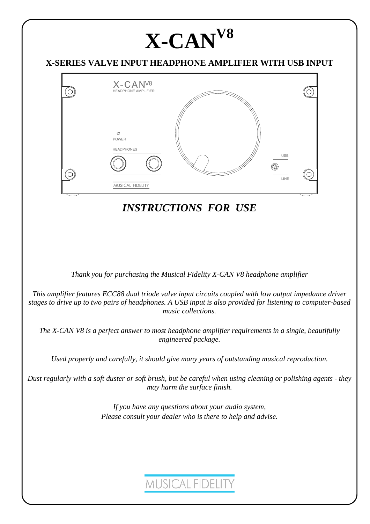# **X-CANV8**

### **X-SERIES VALVE INPUT HEADPHONE AMPLIFIER WITH USB INPUT**



*INSTRUCTIONS FOR USE*

*Thank you for purchasing the Musical Fidelity X-CAN V8 headphone amplifier* 

*This amplifier features ECC88 dual triode valve input circuits coupled with low output impedance driver stages to drive up to two pairs of headphones. A USB input is also provided for listening to computer-based music collections.* 

*The X-CAN V8 is a perfect answer to most headphone amplifier requirements in a single, beautifully engineered package.* 

*Used properly and carefully, it should give many years of outstanding musical reproduction.* 

*Dust regularly with a soft duster or soft brush, but be careful when using cleaning or polishing agents - they may harm the surface finish.* 

> *If you have any questions about your audio system, Please consult your dealer who is there to help and advise.*

## **MUSICAL FIDELITY**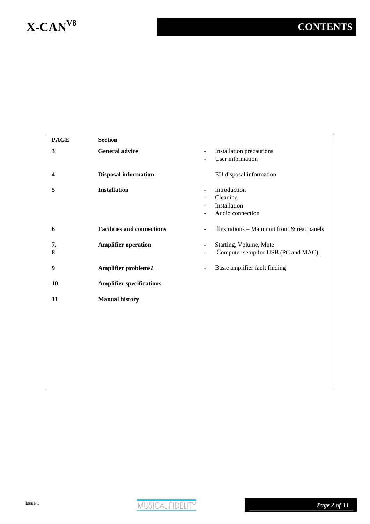## **X-CANV8 CONTENTS**

### **PAGE Section 3 General advice** - - Installation precautions User information **4 Disposal information** EU disposal information **5 Installation** - - - - Introduction Cleaning Installation Audio connection **6 Facilities and connections Facilities and connections -** Illustrations – Main unit front & rear panels **7, 8 Amplifier operation** - - Starting, Volume, Mute Computer setup for USB (PC and MAC), **9 Amplifier problems?** - Basic amplifier fault finding **10 Amplifier specifications 11 Manual history**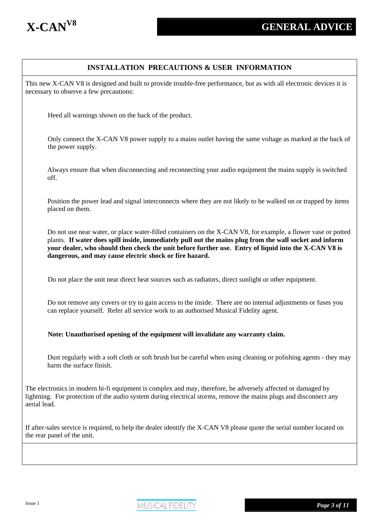

### **INSTALLATION PRECAUTIONS & USER INFORMATION**

This new X-CAN V8 is designed and built to provide trouble-free performance, but as with all electronic devices it is necessary to observe a few precautions:

Heed all warnings shown on the back of the product.

Only connect the X-CAN V8 power supply to a mains outlet having the same voltage as marked at the back of the power supply.

Always ensure that when disconnecting and reconnecting your audio equipment the mains supply is switched off.

Position the power lead and signal interconnects where they are not likely to be walked on or trapped by items placed on them.

Do not use near water, or place water-filled containers on the X-CAN V8, for example, a flower vase or potted plants. **If water does spill inside, immediately pull out the mains plug from the wall socket and inform your dealer, who should then check the unit before further use. Entry of liquid into the X-CAN V8 is dangerous, and may cause electric shock or fire hazard.** 

Do not place the unit near direct heat sources such as radiators, direct sunlight or other equipment.

Do not remove any covers or try to gain access to the inside. There are no internal adjustments or fuses you can replace yourself. Refer all service work to an authorised Musical Fidelity agent.

**Note: Unauthorised opening of the equipment will invalidate any warranty claim.**

Dust regularly with a soft cloth or soft brush but be careful when using cleaning or polishing agents - they may harm the surface finish.

The electronics in modern hi-fi equipment is complex and may, therefore, be adversely affected or damaged by lightning. For protection of the audio system during electrical storms, remove the mains plugs and disconnect any aerial lead.

If after-sales service is required, to help the dealer identify the X-CAN V8 please quote the serial number located on the rear panel of the unit.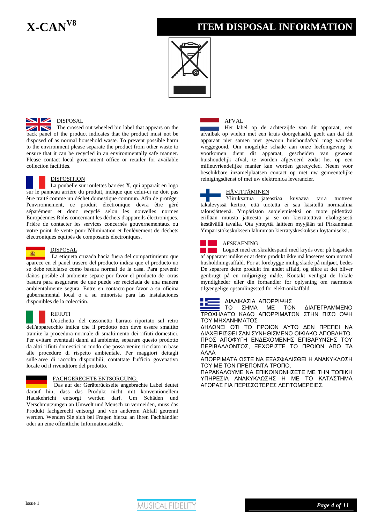### **X-CANV8 ITEM DISPOSAL INFORMATION**



#### **NEW DISPOSAL**

The crossed out wheeled bin label that appears on the back panel of the product indicates that the product must not be disposed of as normal household waste. To prevent possible harm to the environment please separate the product from other waste to ensure that it can be recycled in an environmentally safe manner. Please contact local government office or retailer for available collection facilities.



#### DISPOSITION

La poubelle sur roulettes barrées X, qui apparaît en logo sur le panneau arrière du produit, indique que celui-ci ne doit pas être traité comme un déchet domestique commun. Afin de protéger l'environnement, ce produit électronique devra être géré séparément et donc recyclé selon les nouvelles normes Européennes Rohs concernant les déchets d'appareils électroniques. Prière de contacter les services concernés gouvernementaux ou votre point de vente pour l'élimination et l'enlèvement de déchets électroniques équipés de composants électroniques.

### 瓣

#### DISPOSAL

La etiqueta cruzada hacia fuera del compartimiento que aparece en el panel trasero del producto indica que el producto no se debe reciclarse como basura normal de la casa. Para prevenir daños posible al ambiente separe por favor el producto de otras basura para asegurarse de que puede ser reciclada de una manera ambientalmente segura. Entre en contacto por favor a su oficina gubernamental local o a su minorista para las instalaciones disponibles de la colección.



#### RIFIUTI

L'etichetta del cassonetto barrato riportato sul retro dell'apparecchio indica che il prodotto non deve essere smaltito tramite la procedura normale di smaltimento dei rifiuti domestici. Per evitare eventuali danni all'ambiente, separare questo prodotto da altri rifiuti domestici in modo che possa venire riciclato in base alle procedure di rispetto ambientale. Per maggiori dettagli sulle aree di raccolta disponibili, contattate l'ufficio govenativo locale od il rivenditore del prodotto.

#### FACHGERECHTE ENTSORGUNG:

Das auf der Geräterückseite angebrachte Label deutet darauf hin, dass das Produkt nicht mit konventionellem Hauskehricht entsorgt werden darf. Um Schäden und Verschmutzungen an Umwelt und Mensch zu vermeiden, muss das Produkt fachgerecht entsorgt und von anderem Abfall getrennt werden. Wenden Sie sich bei Fragen hierzu an Ihren Fachhändler oder an eine öffentliche Informationsstelle.



Het label op de achterzijde van dit apparaat, een afvalbak op wielen met een kruis doorgehaald, geeft aan dat dit apparaat niet samen met gewoon huishoudafval mag worden weggegooid. Om mogelijke schade aan onze leefomgeving te voorkomen dient dit apparaat, gescheiden van gewoon huishoudelijk afval, te worden afgevoerd zodat het op een milieuvriendelijke manier kan worden gerecycled. Neem voor beschikbare inzamelplaatsen contact op met uw gemeentelijke reinigingsdienst of met uw elektronica leverancier.

#### **HÄVITTÄMINEN**

Yliruksattua jäteastiaa kuvaava tarra tuotteen takalevyssä kertoo, että tuotetta ei saa käsitellä normaalina talousjätteenä. Ympäristön suojelemiseksi on tuote pidettävä erillään muusta jätteestä ja se on kierrätettävä ekologisesti kestävällä tavalla. Ota yhteyttä laitteen myyjään tai Pirkanmaan Ympäristökeskukseen lähimmän kierrätyskeskuksen löytämiseksi.

#### AFSK AFNING

Logoet med en skraldespand med kryds over på bagsiden af apparatet indikerer at dette produkt ikke må kasseres som normal husholdni ngsaffald. For at forebygge mulig skade på miljøet, bedes De separere dette produkt fra andet affald, og sikre at det bliver genbrugt på en miljørigtig måde. Kontakt venligst de lokale myndigheder eller din forhandler for oplysning om nærmeste tilgængelige opsamlingssted for elektronikaffald.

#### ∆ΙΑ∆ΙΚΑΣΙΑ ΑΠΟΡΡΙΨΗΣ

∆ΙΑΓΕΓΡΑΜΜΕΝΟ ΤΡΟΧΗΛΑΤΟ ΚΑΔΟ ΑΠΟΡΡΙΜΑΤΩΝ ΣΤΗΝ ΠΙΣΩ ΟΨΗ ΤΟΥ ΜΗΧ ΑΝΗΜΑΤΟΣ ΤΟ ΣΗΜΑ ΜΕ ΤΟΝ

∆ΗΛΩΝΕΙ ΟΤΙ ΤΟ ΠΡΟΙΟΝ ΑΥΤΟ ∆ΕΝ ΠΡΕΠΕΙ ΝΑ ∆ΙΑΧΕΙΡΙΣΘΕΙ ΣΑΝ ΣΥΝΗΘΙΣΜΕΝΟ ΟΙΚΙΑΚΟ ΑΠΟΒΛΗΤΟ. ΠΡΟΣ ΑΠΟΦΥΓΗ ΕΝ∆ΕΧΟΜΕΝΗΣ ΕΠΙΒΑΡΥΝΣΗΣ ΤΟΥ ΠΕΡΙΒΑΛΛΟΝΤΟΣ, ΞΕΧΩΡΙΣΤΕ ΤΟ ΠΡΟΙΟΝ ΑΠΟ ΤΑ ΑΛΛΑ

ΑΠΟΡΡΙΜΑΤΑ ΩΣΤΕ ΝΑ ΕΞΑΣΦΑΛΙΣΘΕΙ Η ΑΝΑΚΥΚΛΩΣΗ ΤΟΥ ΜΕ ΤΟΝ ΠΡΕΠΟΝΤΑ ΤΡΟΠΟ.

ΠΑΡΑΚΑΛΟΥΜΕ ΝΑ ΕΠΙΚΟΙΝΩΝΗΣΕΤΕ ΜΕ ΤΗΝ ΤΟΠΙΚΗ ΥΠΗΡΕΣΙΑ ΑΝΑΚΥΚΛΩΣΗΣ Η ΜΕ ΤΟ ΚΑΤΑΣΤΗΜΑ ΑΓΟΡΑΣ ΓΙΑ ΠΕΡΙΣΣΟΤΕΡΕΣ ΛΕΠΤΟΜΕΡΕΙΕΣ.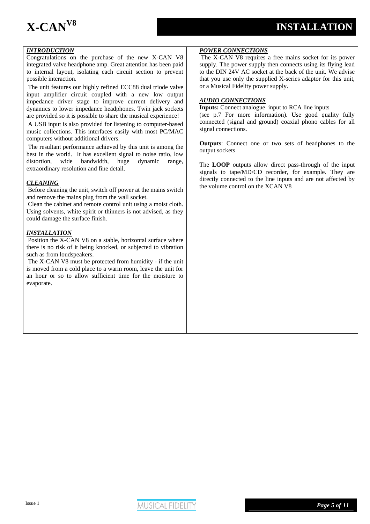#### *INTRODUCTION*

Congratulations on the purchase of the new X-CAN V8 integrated valve headphone amp. Great attention has been paid to internal layout, isolating each circuit section to prevent possible interaction.

The unit features our highly refined ECC88 dual triode valve input amplifier circuit coupled with a new low output impedance driver stage to improve current delivery and dynamics to lower impedance headphones. Twin jack sockets are provided so it is possible to share the musical experience!

A USB input is also provided for listening to computer-based music collections. This interfaces easily with most PC/MAC computers without additional drivers.

The resultant performance achieved by this unit is among the best in the world. It has excellent signal to noise ratio, low distortion, wide bandwidth, huge dynamic range, extraordinary resolution and fine detail.

#### *CLEANING*

Before cleaning the unit, switch off power at the mains switch and remove the mains plug from the wall socket.

Clean the cabinet and remote control unit using a moist cloth. Using solvents, white spirit or thinners is not advised, as they could damage the surface finish.

#### *INSTALLATION*

Position the X-CAN V8 on a stable, horizontal surface where there is no risk of it being knocked, or subjected to vibration such as from loudspeakers.

The X-CAN V8 must be protected from humidity - if the unit is moved from a cold place to a warm room, leave the unit for an hour or so to allow sufficient time for the moisture to evaporate.

#### *POWER CONNECTIONS*

The X-CAN V8 requires a free mains socket for its power supply. The power supply then connects using its flying lead to the DIN 24V AC socket at the back of the unit. We advise that you use only the supplied X-series adaptor for this unit, or a Musical Fidelity power supply.

#### *AUDIO CONNECTIONS*

**Inputs:** Connect analogue input to RCA line inputs (see p.7 For more information). Use good quality fully connected (signal and ground) coaxial phono cables for all signal connections.

**Outputs**: Connect one or two sets of headphones to the output sockets

The **LOOP** outputs allow direct pass-through of the input signals to tape/MD/CD recorder, for example. They are directly connected to the line inputs and are not affected by the volume control on the XCAN V8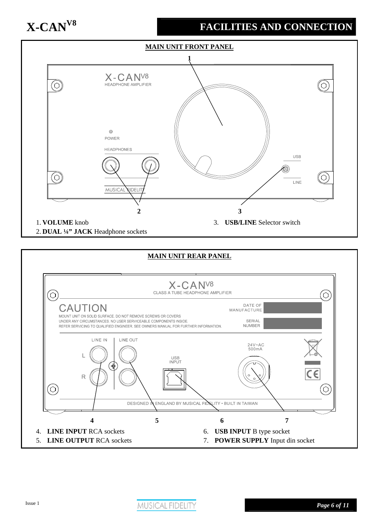## **X-CANV8 FACILITIES AND CONNECTION**



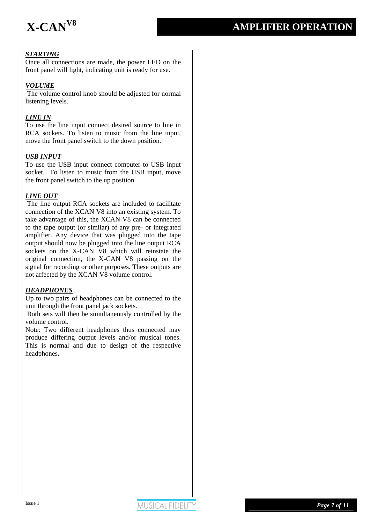

### *STARTING*

Once all connections are made, the power LED on the front panel will light, indicating unit is ready for use.

#### *VOLUME*

 The volume control knob should be adjusted for normal listening levels.

#### *LINE IN*

To use the line input connect desired source to line in RCA sockets. To listen to music from the line input, move the front panel switch to the down position.

#### *USB INPUT*

To use the USB input connect computer to USB input socket. To listen to music from the USB input, move the front panel switch to the up position

#### *LINE OUT*

 The line output RCA sockets are included to facilitate connection of the XCAN V8 into an existing system. To take advantage of this, the XCAN V8 can be connected to the tape output (or similar) of any pre- or integrated amplifier. Any device that was plugged into the tape output should now be plugged into the line output RCA sockets on the X-CAN V8 which will reinstate the original connection, the X-CAN V8 passing on the signal for recording or other purposes. These outputs are not affected by the XCAN V8 volume control.

#### *HEADPHONES*

Up to two pairs of headphones can be connected to the unit through the front panel jack sockets.

 Both sets will then be simultaneously controlled by the volume control.

Note: Two different headphones thus connected may produce differing output levels and/or musical tones. This is normal and due to design of the respective headphones.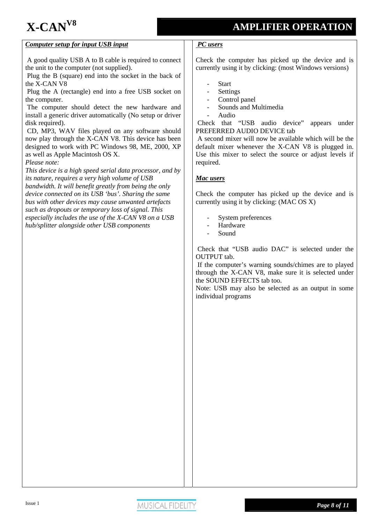## **X-CANV8 AMPLIFIER OPERATION**

#### *Computer setup for input USB input*

 A good quality USB A to B cable is required to connect the unit to the computer (not supplied).

 Plug the B (square) end into the socket in the back of the X-CAN V8

 Plug the A (rectangle) end into a free USB socket on the computer.

 The computer should detect the new hardware and install a generic driver automatically (No setup or driver disk required).

 CD, MP3, WAV files played on any software should now play through the X-CAN V8. This device has been designed to work with PC Windows 98, ME, 2000, XP as well as Apple Macintosh OS X.

*Please note:* 

*This device is a high speed serial data processor, and by its nature, requires a very high volume of USB bandwidth. It will benefit greatly from being the only device connected on its USB 'bus'. Sharing the same bus with other devices may cause unwanted artefacts such as dropouts or temporary loss of signal. This especially includes the use of the X-CAN V8 on a USB hub/splitter alongside other USB components*

#### *PC users*

Check the computer has picked up the device and is currently using it by clicking: (most Windows versions)

- **Start**
- **Settings**
- Control panel
- Sounds and Multimedia
- Audio

 Check that "USB audio device" appears under PREFERRED AUDIO DEVICE tab

 A second mixer will now be available which will be the default mixer whenever the X-CAN V8 is plugged in. Use this mixer to select the source or adjust levels if required.

#### *Mac users*

Check the computer has picked up the device and is currently using it by clicking: (MAC OS X)

- System preferences
- **Hardware**
- Sound

 Check that "USB audio DAC" is selected under the OUTPUT tab.

 If the computer's warning sounds/chimes are to played through the X-CAN V8, make sure it is selected under the SOUND EFFECTS tab too.

Note: USB may also be selected as an output in some individual programs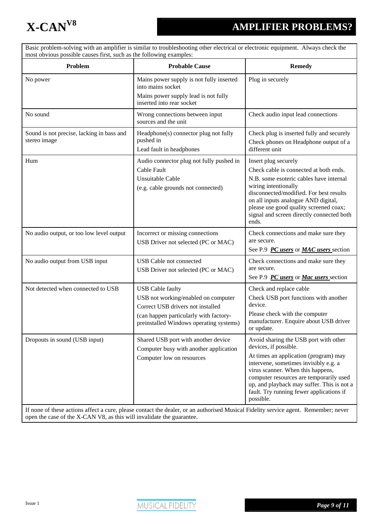

Basic problem-solving with an amplifier is similar to troubleshooting other electrical or electronic equipment. Always check the most obvious possible causes first, such as the following examples:

| Problem                                                   | <b>Probable Cause</b>                                                                                                                                                                                                                             | <b>Remedy</b>                                                                                                                                                                                                                                                                                                                           |
|-----------------------------------------------------------|---------------------------------------------------------------------------------------------------------------------------------------------------------------------------------------------------------------------------------------------------|-----------------------------------------------------------------------------------------------------------------------------------------------------------------------------------------------------------------------------------------------------------------------------------------------------------------------------------------|
| No power                                                  | Mains power supply is not fully inserted<br>into mains socket<br>Mains power supply lead is not fully<br>inserted into rear socket                                                                                                                | Plug in securely                                                                                                                                                                                                                                                                                                                        |
| No sound                                                  | Wrong connections between input<br>sources and the unit                                                                                                                                                                                           | Check audio input lead connections                                                                                                                                                                                                                                                                                                      |
| Sound is not precise, lacking in bass and<br>stereo image | Headphone(s) connector plug not fully<br>pushed in<br>Lead fault in headphones                                                                                                                                                                    | Check plug is inserted fully and securely<br>Check phones on Headphone output of a<br>different unit                                                                                                                                                                                                                                    |
| Hum                                                       | Audio connector plug not fully pushed in<br>Cable Fault<br>Unsuitable Cable<br>(e.g. cable grounds not connected)                                                                                                                                 | Insert plug securely<br>Check cable is connected at both ends.<br>N.B. some esoteric cables have internal<br>wiring intentionally<br>disconnected/modified. For best results<br>on all inputs analogue AND digital,<br>please use good quality screened coax;<br>signal and screen directly connected both<br>ends.                     |
| No audio output, or too low level output                  | Incorrect or missing connections<br>USB Driver not selected (PC or MAC)                                                                                                                                                                           | Check connections and make sure they<br>are secure.<br>See P.9 PC users or MAC users section                                                                                                                                                                                                                                            |
| No audio output from USB input                            | <b>USB</b> Cable not connected<br>USB Driver not selected (PC or MAC)                                                                                                                                                                             | Check connections and make sure they<br>are secure.<br>See P.9 <i>PC users</i> or <i>Mac users</i> section                                                                                                                                                                                                                              |
| Not detected when connected to USB                        | <b>USB</b> Cable faulty<br>USB not working/enabled on computer<br>Correct USB drivers not installed<br>(can happen particularly with factory-<br>preinstalled Windows operating systems)                                                          | Check and replace cable<br>Check USB port functions with another<br>device.<br>Please check with the computer<br>manufacturer. Enquire about USB driver<br>or update.                                                                                                                                                                   |
| Dropouts in sound (USB input)                             | Shared USB port with another device<br>Computer busy with another application<br>Computer low on resources<br>If none of these actions affect a cure, please contact the dealer, or an authorised Musical Fidelity service agent. Remember; never | Avoid sharing the USB port with other<br>devices, if possible.<br>At times an application (program) may<br>intervene, sometimes invisibly e.g. a<br>virus scanner. When this happens,<br>computer resources are temporarily used<br>up, and playback may suffer. This is not a<br>fault. Try running fewer applications if<br>possible. |

open the case of the X-CAN V8, as this will invalidate the guarantee.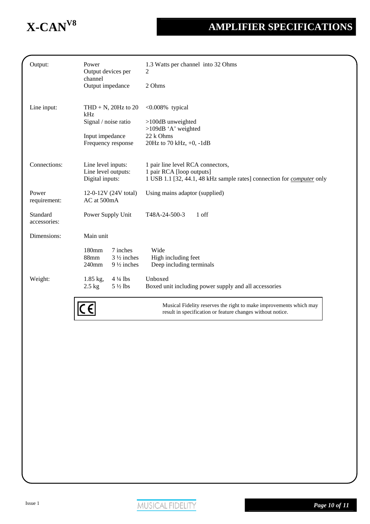## **X-CANV8 AMPLIFIER SPECIFICATIONS**

| Output:                  | Power<br>Output devices per<br>channel | 1.3 Watts per channel into 32 Ohms<br>2                                                                    |
|--------------------------|----------------------------------------|------------------------------------------------------------------------------------------------------------|
|                          | Output impedance                       | 2 Ohms                                                                                                     |
| Line input:              | THD $+$ N, 20Hz to 20<br>kHz           | <0.008% typical                                                                                            |
|                          | Signal / noise ratio                   | $>100$ dB unweighted<br>$>109$ dB 'A' weighted                                                             |
|                          | Input impedance                        | 22 k Ohms                                                                                                  |
|                          | Frequency response                     | 20Hz to 70 kHz, $+0$ , $-1dB$                                                                              |
| Connections:             | Line level inputs:                     | 1 pair line level RCA connectors,                                                                          |
|                          | Line level outputs:<br>Digital inputs: | 1 pair RCA [loop outputs]<br>1 USB 1.1 [32, 44.1, 48 kHz sample rates] connection for <i>computer</i> only |
|                          |                                        |                                                                                                            |
| Power<br>requirement:    | 12-0-12V (24V total)<br>AC at 500mA    | Using mains adaptor (supplied)                                                                             |
| Standard<br>accessories: | Power Supply Unit                      | T48A-24-500-3<br>1 off                                                                                     |
| Dimensions:              | Main unit                              |                                                                                                            |
|                          | 180mm<br>7 inches                      | Wide                                                                                                       |
|                          | 88mm<br>$3\frac{1}{2}$ inches          | High including feet                                                                                        |
|                          | 240mm<br>$9\frac{1}{2}$ inches         | Deep including terminals                                                                                   |
| Weight:                  | $4\frac{1}{4}$ lbs<br>$1.85$ kg,       | Unboxed                                                                                                    |
|                          | $5\frac{1}{2}$ lbs<br>$2.5$ kg         | Boxed unit including power supply and all accessories                                                      |
|                          |                                        | Musical Fidelity reserves the right to make improvements which may                                         |

 $|C$ 

result in specification or feature changes without notice.